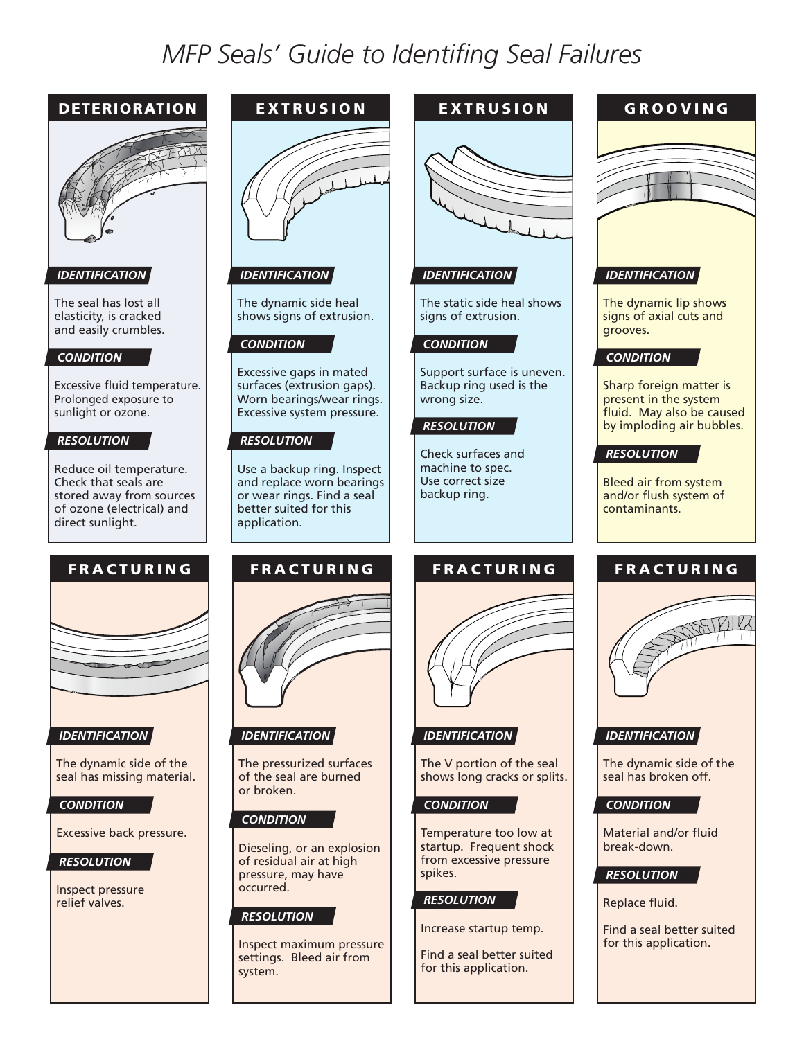# *MFP Seals' Guide to Identifing Seal Failures*



#### *IDENTIFICATION*

The seal has lost all elasticity, is cracked and easily crumbles.

#### *CONDITION*

Excessive fluid temperature. Prolonged exposure to sunlight or ozone.

#### *RESOLUTION*

Reduce oil temperature. Check that seals are stored away from sources of ozone (electrical) and direct sunlight.

## FRACTURING



#### *IDENTIFICATION*

The dynamic side of the seal has missing material.

#### *CONDITION*

Excessive back pressure.

#### *RESOLUTION*

Inspect pressure relief valves.



## *IDENTIFICATION*

The dynamic side heal shows signs of extrusion.

#### *CONDITION*

Excessive gaps in mated surfaces (extrusion gaps). Worn bearings/wear rings. Excessive system pressure.

#### *RESOLUTION*

Use a backup ring. Inspect and replace worn bearings or wear rings. Find a seal better suited for this application.



The static side heal shows signs of extrusion.

#### *CONDITION*

Support surface is uneven. Backup ring used is the wrong size.

#### *RESOLUTION*

Check surfaces and machine to spec. Use correct size backup ring.

## FRACTURING



#### *IDENTIFICATION*

The V portion of the seal shows long cracks or splits.

#### *CONDITION*

Temperature too low at startup. Frequent shock from excessive pressure spikes.

#### *RESOLUTION*

Increase startup temp.

Find a seal better suited for this application.

## GROOVING



## *IDENTIFICATION*

The dynamic lip shows signs of axial cuts and grooves.

#### *CONDITION*

Sharp foreign matter is present in the system fluid. May also be caused by imploding air bubbles.

#### *RESOLUTION*

Bleed air from system and/or flush system of contaminants.

## FRACTURING



#### *IDENTIFICATION*

The dynamic side of the seal has broken off.

#### *CONDITION*

Material and/or fluid break-down.

#### *RESOLUTION*

Replace fluid.

Find a seal better suited for this application.

## FRACTURING



## *IDENTIFICATION*

The pressurized surfaces of the seal are burned or broken.

#### *CONDITION*

Dieseling, or an explosion of residual air at high pressure, may have occurred.

#### *RESOLUTION*

Inspect maximum pressure settings. Bleed air from system.